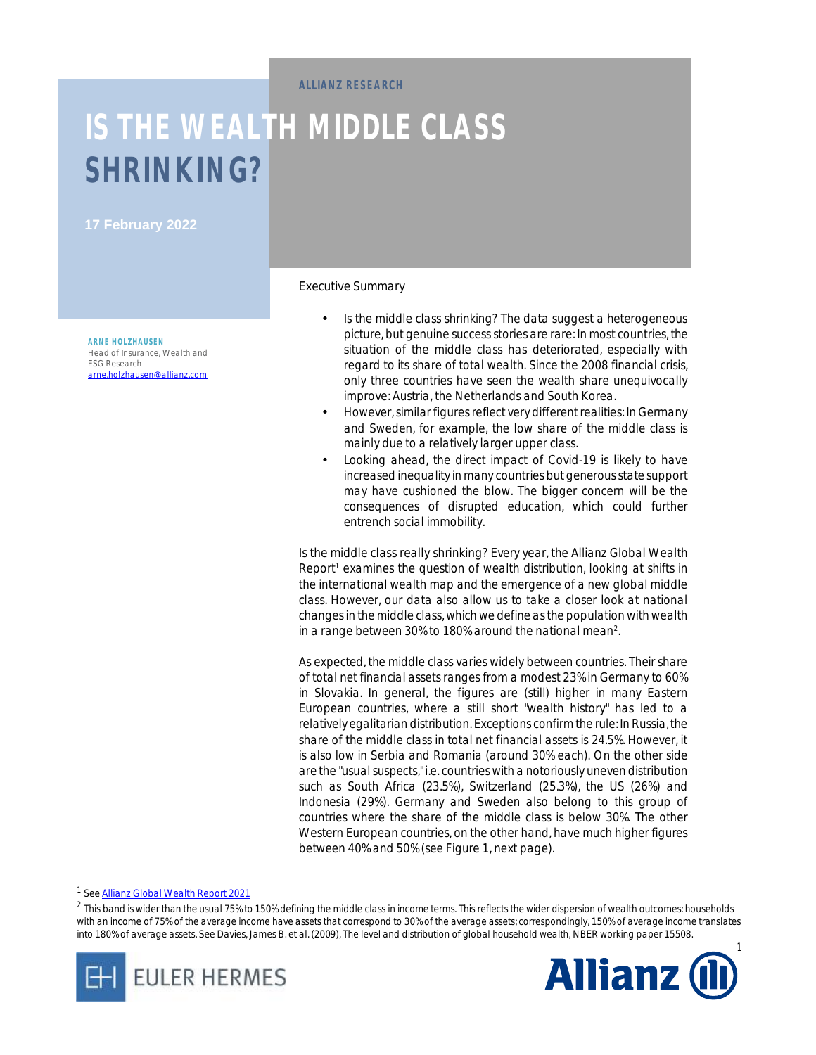**ALLIANZ RESEARCH** 

# **IS THE WEALTH MIDDLE CLASS SHRINKING?**

**17 February 2022** 

**ARNE HOLZHAUSEN** Head of Insurance, Wealth and ESG Research [arne.holzhausen@allianz.com](mailto:arne.holzhausen@allianz.com) Executive Summary

- *Is the middle class shrinking? The data suggest a heterogeneous picture, but genuine success stories are rare: In most countries, the situation of the middle class has deteriorated, especially with regard to its share of total wealth. Since the 2008 financial crisis, only three countries have seen the wealth share unequivocally improve: Austria, the Netherlands and South Korea.*
- *However,similar figuresreflect very different realities: In Germany and Sweden, for example, the low share of the middle class is mainly due to a relatively larger upper class.*
- *Looking ahead, the direct impact of Covid-19 is likely to have increased inequality in many countries but generousstate support may have cushioned the blow. The bigger concern will be the consequences of disrupted education, which could further entrench social immobility.*

Is the middle class really shrinking? Every year, the Allianz Global Wealth Report<sup>1</sup> examines the question of wealth distribution, looking at shifts in the international wealth map and the emergence of a new global middle class. However, our data also allow us to take a closer look at national changes in the middle class, which we define as the population with wealth in a range between 30% to 180% around the national mean<sup>2</sup>.

As expected, the middle class varies widely between countries. Their share of total net financial assets ranges from a modest 23% in Germany to 60% in Slovakia. In general, the figures are (still) higher in many Eastern European countries, where a still short "wealth history" has led to a relatively egalitarian distribution. Exceptions confirm the rule: In Russia, the share of the middle class in total net financial assets is 24.5%. However, it is also low in Serbia and Romania (around 30% each). On the other side are the "usual suspects," i.e. countries with a notoriously uneven distribution such as South Africa (23.5%), Switzerland (25.3%), the US (26%) and Indonesia (29%). Germany and Sweden also belong to this group of countries where the share of the middle class is below 30%. The other Western European countries, on the other hand, have much higher figures between 40% and 50% (see Figure 1, next page).

<sup>1</sup> See Allianz Global Wealth Report 2021

 $\overline{a}$ 

 $^2$  This band is wider than the usual 75% to 150% defining the middle class in income terms. This reflects the wider dispersion of wealth outcomes: households with an income of 75% of the average income have assets that correspond to 30% of the average assets; correspondingly, 150% of average income translates into 180% of average assets. See Davies, James B. et al. (2009), The level and distribution of global household wealth, NBER working paper 15508.



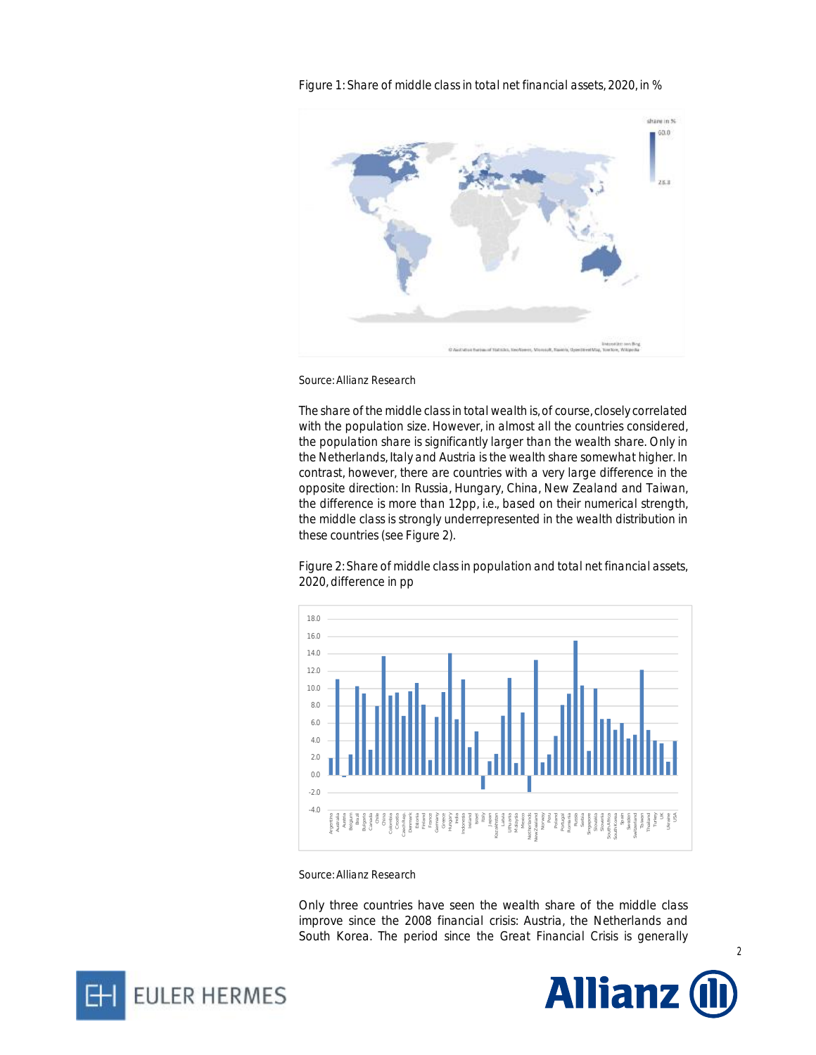share in %  $60.0$  $283$ 

Figure 1: Share of middle class in total net financial assets, 2020, in %

*Source: Allianz Research* 

The share of the middle classin total wealth is, of course, closely correlated with the population size. However, in almost all the countries considered, the population share is significantly larger than the wealth share. Only in the Netherlands, Italy and Austria is the wealth share somewhat higher. In contrast, however, there are countries with a very large difference in the opposite direction: In Russia, Hungary, China, New Zealand and Taiwan, the difference is more than 12pp, i.e., based on their numerical strength, the middle class is strongly underrepresented in the wealth distribution in these countries (see Figure 2).

Figure 2: Share of middle class in population and total net financial assets, 2020, difference in pp



#### *Source: Allianz Research*

Only three countries have seen the wealth share of the middle class improve since the 2008 financial crisis: Austria, the Netherlands and South Korea. The period since the Great Financial Crisis is generally



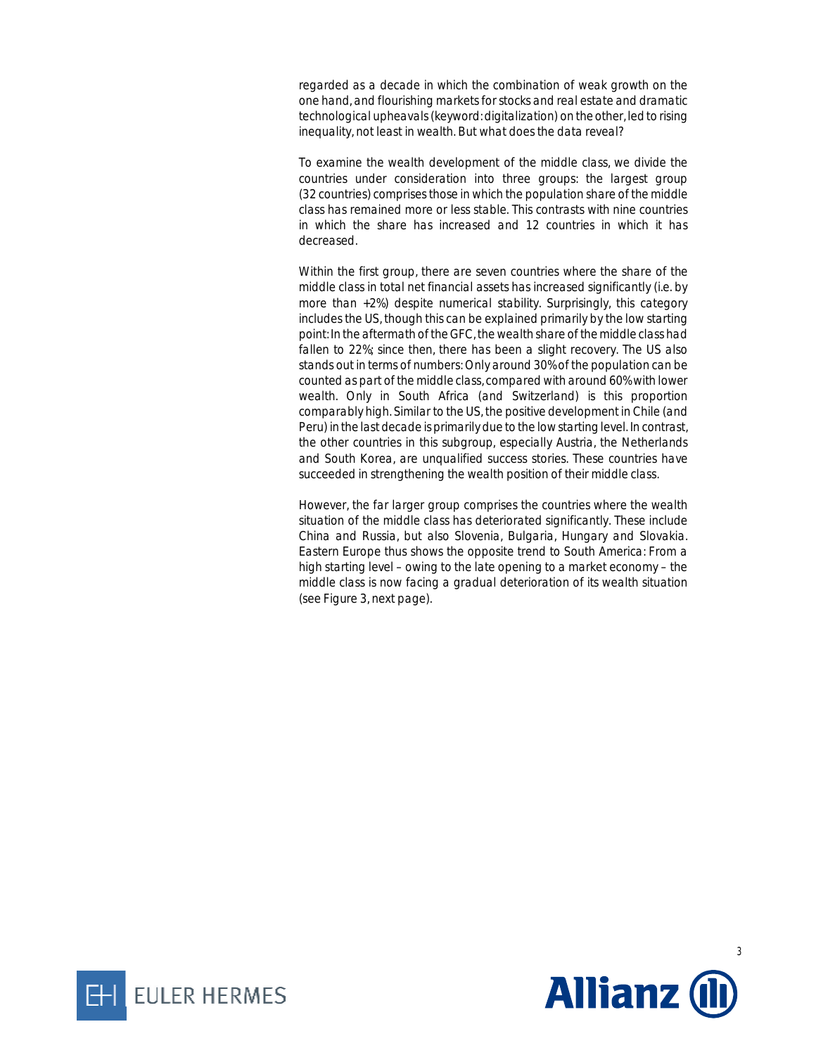regarded as a decade in which the combination of weak growth on the one hand, and flourishing markets for stocks and real estate and dramatic technological upheavals(keyword: digitalization) on the other, led to rising inequality, not least in wealth. But what does the data reveal?

To examine the wealth development of the middle class, we divide the countries under consideration into three groups: the largest group (32 countries) comprises those in which the population share of the middle class has remained more or less stable. This contrasts with nine countries in which the share has increased and 12 countries in which it has decreased.

Within the first group, there are seven countries where the share of the middle class in total net financial assets has increased significantly (i.e. by more than +2%) despite numerical stability. Surprisingly, this category includes the US, though this can be explained primarily by the low starting point: In the aftermath of theGFC, the wealth share of the middle class had fallen to 22%; since then, there has been a slight recovery. The US also stands out in terms of numbers: Only around 30% of the population can be counted as part of the middle class, compared with around 60% with lower wealth. Only in South Africa (and Switzerland) is this proportion comparably high. Similar to the US, the positive development in Chile (and Peru) in the last decade is primarily due to the low starting level. In contrast, the other countries in this subgroup, especially Austria, the Netherlands and South Korea, are unqualified success stories. These countries have succeeded in strengthening the wealth position of their middle class.

However, the far larger group comprises the countries where the wealth situation of the middle class has deteriorated significantly. These include China and Russia, but also Slovenia, Bulgaria, Hungary and Slovakia. Eastern Europe thus shows the opposite trend to South America: From a high starting level – owing to the late opening to a market economy – the middle class is now facing a gradual deterioration of its wealth situation (see Figure 3, next page).



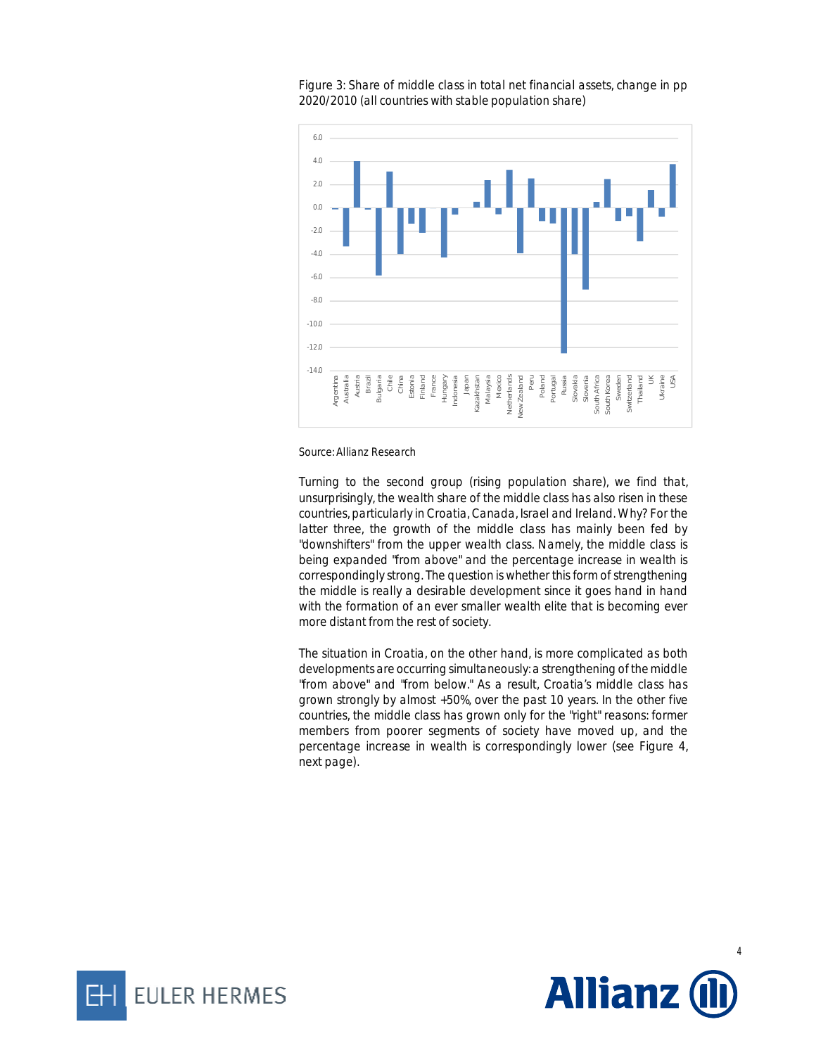

Figure 3: Share of middle class in total net financial assets, change in pp 2020/2010 (all countries with stable population share)

*Source: Allianz Research* 

Turning to the second group (rising population share), we find that, unsurprisingly, the wealth share of the middle class has also risen in these countries, particularly in Croatia, Canada, Israel and Ireland. Why? For the latter three, the growth of the middle class has mainly been fed by "downshifters" from the upper wealth class. Namely, the middle class is being expanded "from above" and the percentage increase in wealth is correspondingly strong. The question is whether this form of strengthening the middle is really a desirable development since it goes hand in hand with the formation of an ever smaller wealth elite that is becoming ever more distant from the rest of society.

The situation in Croatia, on the other hand, is more complicated as both developments are occurring simultaneously: a strengthening of the middle "from above" and "from below." As a result, Croatia's middle class has grown strongly by almost +50%, over the past 10 years. In the other five countries, the middle class has grown only for the "right" reasons: former members from poorer segments of society have moved up, and the percentage increase in wealth is correspondingly lower (see Figure 4, next page).





4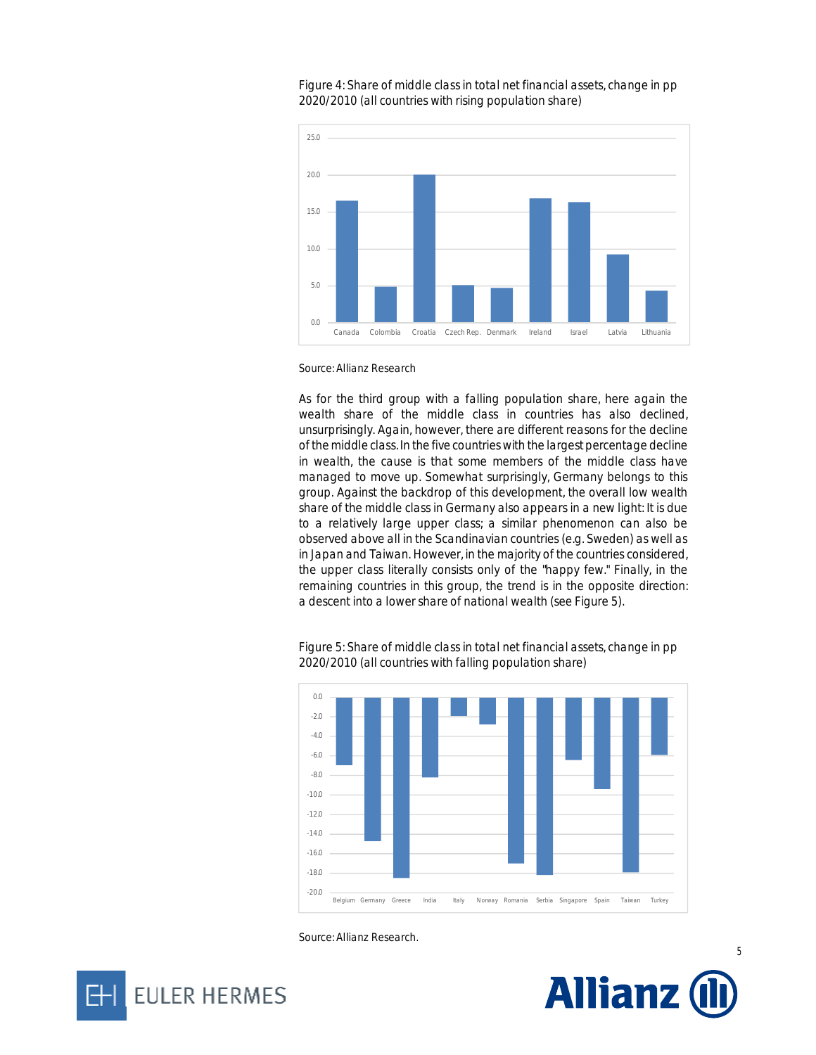

#### Figure 4: Share of middle class in total net financial assets, change in pp 2020/2010 (all countries with rising population share)

*Source: Allianz Research* 

As for the third group with a falling population share, here again the wealth share of the middle class in countries has also declined, unsurprisingly. Again, however, there are different reasons for the decline of the middle class. In the five countries with the largest percentage decline in wealth, the cause is that some members of the middle class have managed to move up. Somewhat surprisingly, Germany belongs to this group. Against the backdrop of this development, the overall low wealth share of the middle class in Germany also appears in a new light: It is due to a relatively large upper class; a similar phenomenon can also be observed above all in the Scandinavian countries (e.g. Sweden) as well as in Japan and Taiwan. However, in the majority of the countries considered, the upper class literally consists only of the "happy few." Finally, in the remaining countries in this group, the trend is in the opposite direction: a descent into a lower share of national wealth (see Figure 5).

Figure 5: Share of middle class in total net financial assets, change in pp 2020/2010 (all countries with falling population share)







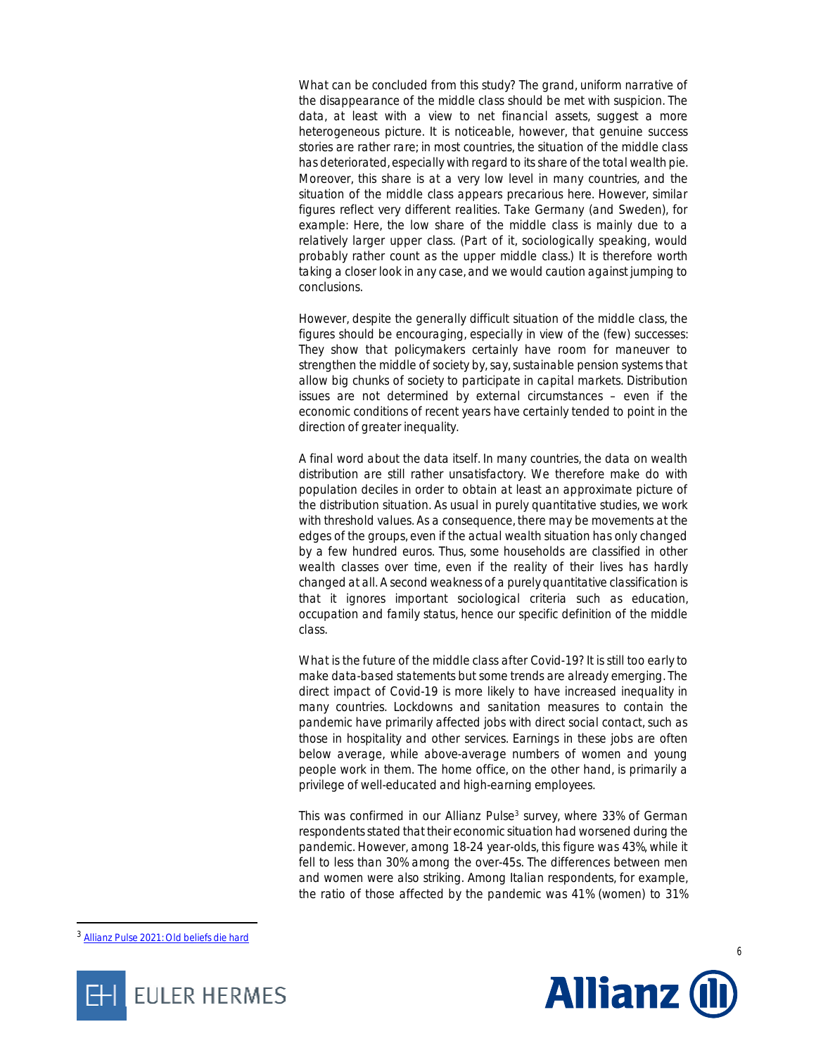What can be concluded from this study? The grand, uniform narrative of the disappearance of the middle class should be met with suspicion. The data, at least with a view to net financial assets, suggest a more heterogeneous picture. It is noticeable, however, that genuine success stories are rather rare; in most countries, the situation of the middle class has deteriorated, especially with regard to its share of the total wealth pie. Moreover, this share is at a very low level in many countries, and the situation of the middle class appears precarious here. However, similar figures reflect very different realities. Take Germany (and Sweden), for example: Here, the low share of the middle class is mainly due to a relatively larger upper class. (Part of it, sociologically speaking, would probably rather count as the upper middle class.) It is therefore worth taking a closer look in any case, and we would caution against jumping to conclusions.

However, despite the generally difficult situation of the middle class, the figures should be encouraging, especially in view of the (few) successes: They show that policymakers certainly have room for maneuver to strengthen the middle of society by, say, sustainable pension systems that allow big chunks of society to participate in capital markets. Distribution issues are not determined by external circumstances – even if the economic conditions of recent years have certainly tended to point in the direction of greater inequality.

A final word about the data itself. In many countries, the data on wealth distribution are still rather unsatisfactory. We therefore make do with population deciles in order to obtain at least an approximate picture of the distribution situation. As usual in purely quantitative studies, we work with threshold values. As a consequence, there may be movements at the edges of the groups, even if the actual wealth situation has only changed by a few hundred euros. Thus, some households are classified in other wealth classes over time, even if the reality of their lives has hardly changed at all. A second weakness of a purely quantitative classification is that it ignores important sociological criteria such as education, occupation and family status, hence our specific definition of the middle class.

What is the future of the middle class after Covid-19? It is still too early to make data-based statements but some trends are already emerging. The direct impact of Covid-19 is more likely to have increased inequality in many countries. Lockdowns and sanitation measures to contain the pandemic have primarily affected jobs with direct social contact, such as those in hospitality and other services. Earnings in these jobs are often below average, while above-average numbers of women and young people work in them. The home office, on the other hand, is primarily a privilege of well-educated and high-earning employees.

This was confirmed in our Allianz Pulse<sup>3</sup> survey, where 33% of German respondents stated that their economic situation had worsened during the pandemic. However, among 18-24 year-olds, this figure was 43%, while it fell to less than 30% among the over-45s. The differences between men and women were also striking. Among Italian respondents, for example, the ratio of those affected by the pandemic was 41% (women) to 31%

-





<sup>3</sup> Allianz Pulse 2021: Old beliefs die hard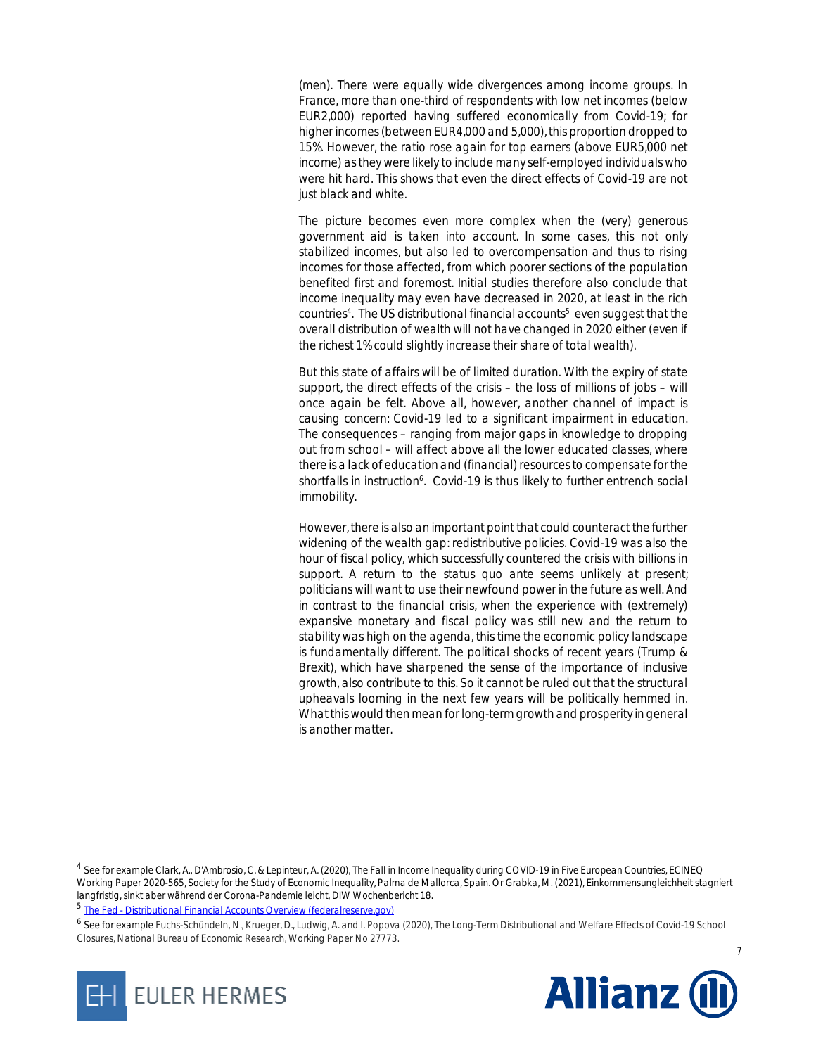(men). There were equally wide divergences among income groups. In France, more than one-third of respondents with low net incomes (below EUR2,000) reported having suffered economically from Covid-19; for higher incomes (between EUR4,000 and 5,000), this proportion dropped to 15%. However, the ratio rose again for top earners (above EUR5,000 net income) as they were likely to include many self-employed individuals who were hit hard. This shows that even the direct effects of Covid-19 are not just black and white.

The picture becomes even more complex when the (very) generous government aid is taken into account. In some cases, this not only stabilized incomes, but also led to overcompensation and thus to rising incomes for those affected, from which poorer sections of the population benefited first and foremost. Initial studies therefore also conclude that income inequality may even have decreased in 2020, at least in the rich countries<sup>4</sup>. The US distributional financial accounts<sup>5</sup> even suggest that the overall distribution of wealth will not have changed in 2020 either (even if the richest 1% could slightly increase their share of total wealth).

But this state of affairs will be of limited duration. With the expiry of state support, the direct effects of the crisis – the loss of millions of jobs – will once again be felt. Above all, however, another channel of impact is causing concern: Covid-19 led to a significant impairment in education. The consequences – ranging from major gaps in knowledge to dropping out from school – will affect above all the lower educated classes, where there is a lack of education and (financial) resources to compensate for the shortfalls in instruction<sup>6</sup>. Covid-19 is thus likely to further entrench social immobility.

However, there is also an important point that could counteract the further widening of the wealth gap: redistributive policies. Covid-19 was also the hour of fiscal policy, which successfully countered the crisis with billions in support. A return to the status quo ante seems unlikely at present; politicians will want to use their newfound power in the future as well. And in contrast to the financial crisis, when the experience with (extremely) expansive monetary and fiscal policy was still new and the return to stability was high on the agenda, this time the economic policy landscape is fundamentally different. The political shocks of recent years (Trump & Brexit), which have sharpened the sense of the importance of inclusive growth, also contribute to this. So it cannot be ruled out that the structural upheavals looming in the next few years will be politically hemmed in. What this would then mean for long-term growth and prosperity in general is another matter.

**EULER HERMES** 

-

<sup>6</sup> See for example Fuchs-Schündeln, N., Krueger, D., Ludwig, A. and I. Popova (2020), The Long-Term Distributional and Welfare Effects of Covid-19 School Closures, National Bureau of Economic Research, Working Paper No 27773.



7

<sup>4</sup> See for example Clark, A., D'Ambrosio, C. & Lepinteur, A. (2020), The Fall in Income Inequality during COVID-19 in Five European Countries, ECINEQ Working Paper 2020-565, Society for the Study of Economic Inequality, Palma de Mallorca, Spain. Or Grabka, M. (2021), Einkommensungleichheit stagniert langfristig, sinkt aber während der Corona-Pandemie leicht, DIW Wochenbericht 18.

<sup>&</sup>lt;sup>5</sup> The Fed - Distributional Financial Accounts Overview (federalreserve.gov)